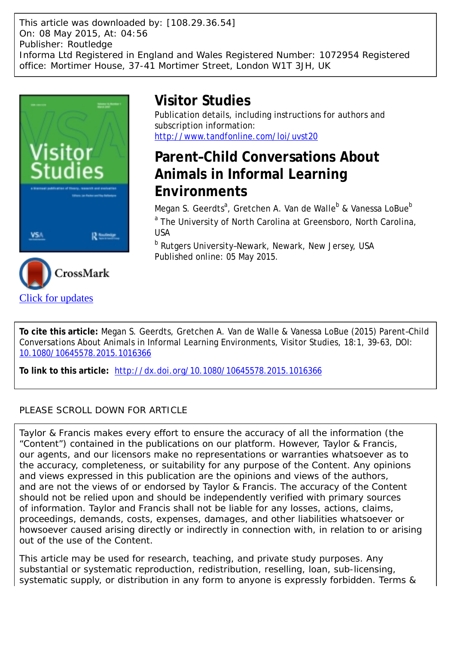This article was downloaded by: [108.29.36.54] On: 08 May 2015, At: 04:56 Publisher: Routledge Informa Ltd Registered in England and Wales Registered Number: 1072954 Registered office: Mortimer House, 37-41 Mortimer Street, London W1T 3JH, UK



[Click for updates](http://crossmark.crossref.org/dialog/?doi=10.1080/10645578.2015.1016366&domain=pdf&date_stamp=2015-05-05)

# **Visitor Studies**

Publication details, including instructions for authors and subscription information: <http://www.tandfonline.com/loi/uvst20>

## **Parent–Child Conversations About Animals in Informal Learning Environments**

Megan S. Geerdts<sup>a</sup>, Gretchen A. Van de Walle<sup>b</sup> & Vanessa LoBue<sup>b</sup> <sup>a</sup> The University of North Carolina at Greensboro, North Carolina, USA

<sup>b</sup> Rutgers University-Newark, Newark, New Jersey, USA Published online: 05 May 2015.

**To cite this article:** Megan S. Geerdts, Gretchen A. Van de Walle & Vanessa LoBue (2015) Parent–Child Conversations About Animals in Informal Learning Environments, Visitor Studies, 18:1, 39-63, DOI: [10.1080/10645578.2015.1016366](http://www.tandfonline.com/action/showCitFormats?doi=10.1080/10645578.2015.1016366)

**To link to this article:** <http://dx.doi.org/10.1080/10645578.2015.1016366>

## PLEASE SCROLL DOWN FOR ARTICLE

Taylor & Francis makes every effort to ensure the accuracy of all the information (the "Content") contained in the publications on our platform. However, Taylor & Francis, our agents, and our licensors make no representations or warranties whatsoever as to the accuracy, completeness, or suitability for any purpose of the Content. Any opinions and views expressed in this publication are the opinions and views of the authors, and are not the views of or endorsed by Taylor & Francis. The accuracy of the Content should not be relied upon and should be independently verified with primary sources of information. Taylor and Francis shall not be liable for any losses, actions, claims, proceedings, demands, costs, expenses, damages, and other liabilities whatsoever or howsoever caused arising directly or indirectly in connection with, in relation to or arising out of the use of the Content.

This article may be used for research, teaching, and private study purposes. Any substantial or systematic reproduction, redistribution, reselling, loan, sub-licensing, systematic supply, or distribution in any form to anyone is expressly forbidden. Terms &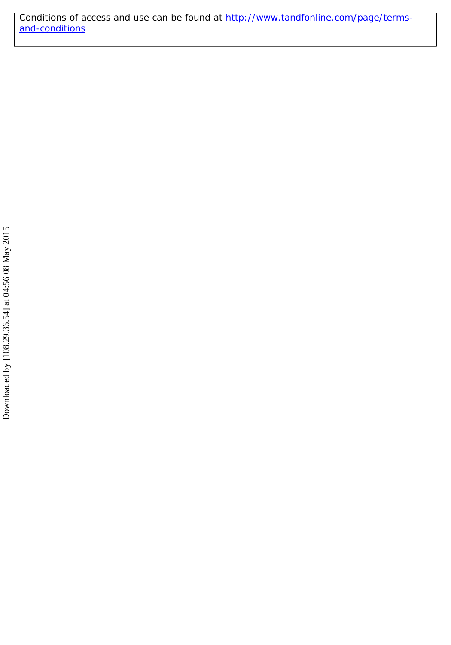Conditions of access and use can be found at [http://www.tandfonline.com/page/terms](http://www.tandfonline.com/page/terms-and-conditions)[and-conditions](http://www.tandfonline.com/page/terms-and-conditions)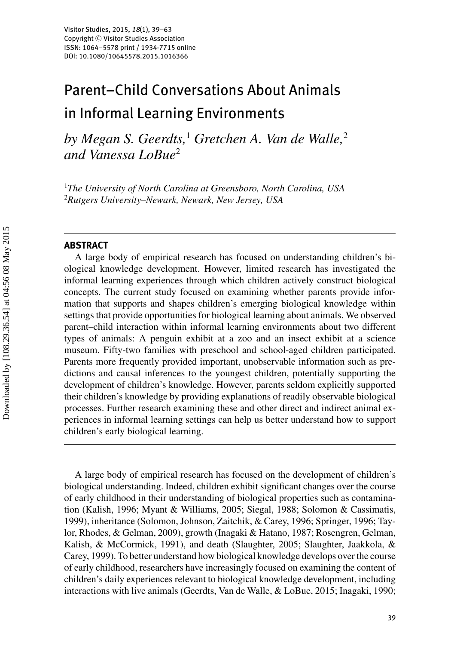# Parent–Child Conversations About Animals in Informal Learning Environments

*by Megan S. Geerdts,*<sup>1</sup> *Gretchen A. Van de Walle,*<sup>2</sup> *and Vanessa LoBue*<sup>2</sup>

1 *The University of North Carolina at Greensboro, North Carolina, USA* 2 *Rutgers University–Newark, Newark, New Jersey, USA*

## **ABSTRACT**

A large body of empirical research has focused on understanding children's biological knowledge development. However, limited research has investigated the informal learning experiences through which children actively construct biological concepts. The current study focused on examining whether parents provide information that supports and shapes children's emerging biological knowledge within settings that provide opportunities for biological learning about animals. We observed parent–child interaction within informal learning environments about two different types of animals: A penguin exhibit at a zoo and an insect exhibit at a science museum. Fifty-two families with preschool and school-aged children participated. Parents more frequently provided important, unobservable information such as predictions and causal inferences to the youngest children, potentially supporting the development of children's knowledge. However, parents seldom explicitly supported their children's knowledge by providing explanations of readily observable biological processes. Further research examining these and other direct and indirect animal experiences in informal learning settings can help us better understand how to support children's early biological learning.

A large body of empirical research has focused on the development of children's biological understanding. Indeed, children exhibit significant changes over the course of early childhood in their understanding of biological properties such as contamination (Kalish, 1996; Myant & Williams, 2005; Siegal, 1988; Solomon & Cassimatis, 1999), inheritance (Solomon, Johnson, Zaitchik, & Carey, 1996; Springer, 1996; Taylor, Rhodes, & Gelman, 2009), growth (Inagaki & Hatano, 1987; Rosengren, Gelman, Kalish, & McCormick, 1991), and death (Slaughter, 2005; Slaughter, Jaakkola, & Carey, 1999). To better understand how biological knowledge develops over the course of early childhood, researchers have increasingly focused on examining the content of children's daily experiences relevant to biological knowledge development, including interactions with live animals (Geerdts, Van de Walle, & LoBue, 2015; Inagaki, 1990;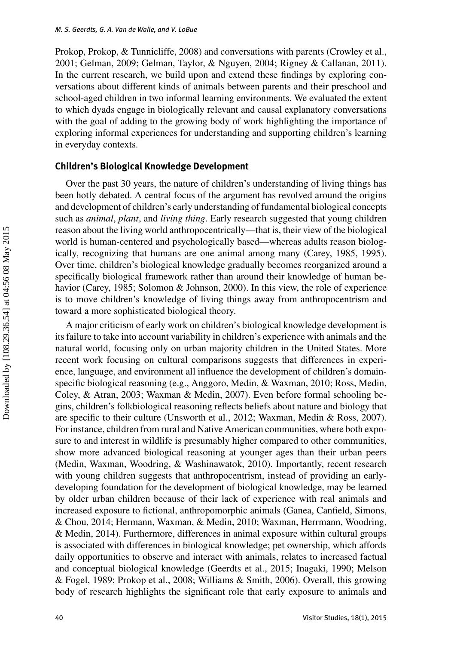Prokop, Prokop, & Tunnicliffe, 2008) and conversations with parents (Crowley et al., 2001; Gelman, 2009; Gelman, Taylor, & Nguyen, 2004; Rigney & Callanan, 2011). In the current research, we build upon and extend these findings by exploring conversations about different kinds of animals between parents and their preschool and school-aged children in two informal learning environments. We evaluated the extent to which dyads engage in biologically relevant and causal explanatory conversations with the goal of adding to the growing body of work highlighting the importance of exploring informal experiences for understanding and supporting children's learning in everyday contexts.

## **Children's Biological Knowledge Development**

Over the past 30 years, the nature of children's understanding of living things has been hotly debated. A central focus of the argument has revolved around the origins and development of children's early understanding of fundamental biological concepts such as *animal*, *plant*, and *living thing*. Early research suggested that young children reason about the living world anthropocentrically—that is, their view of the biological world is human-centered and psychologically based—whereas adults reason biologically, recognizing that humans are one animal among many (Carey, 1985, 1995). Over time, children's biological knowledge gradually becomes reorganized around a specifically biological framework rather than around their knowledge of human behavior (Carey, 1985; Solomon & Johnson, 2000). In this view, the role of experience is to move children's knowledge of living things away from anthropocentrism and toward a more sophisticated biological theory.

A major criticism of early work on children's biological knowledge development is its failure to take into account variability in children's experience with animals and the natural world, focusing only on urban majority children in the United States. More recent work focusing on cultural comparisons suggests that differences in experience, language, and environment all influence the development of children's domainspecific biological reasoning (e.g., Anggoro, Medin, & Waxman, 2010; Ross, Medin, Coley, & Atran, 2003; Waxman & Medin, 2007). Even before formal schooling begins, children's folkbiological reasoning reflects beliefs about nature and biology that are specific to their culture (Unsworth et al., 2012; Waxman, Medin & Ross, 2007). For instance, children from rural and Native American communities, where both exposure to and interest in wildlife is presumably higher compared to other communities, show more advanced biological reasoning at younger ages than their urban peers (Medin, Waxman, Woodring, & Washinawatok, 2010). Importantly, recent research with young children suggests that anthropocentrism, instead of providing an earlydeveloping foundation for the development of biological knowledge, may be learned by older urban children because of their lack of experience with real animals and increased exposure to fictional, anthropomorphic animals (Ganea, Canfield, Simons, & Chou, 2014; Hermann, Waxman, & Medin, 2010; Waxman, Herrmann, Woodring, & Medin, 2014). Furthermore, differences in animal exposure within cultural groups is associated with differences in biological knowledge; pet ownership, which affords daily opportunities to observe and interact with animals, relates to increased factual and conceptual biological knowledge (Geerdts et al., 2015; Inagaki, 1990; Melson & Fogel, 1989; Prokop et al., 2008; Williams & Smith, 2006). Overall, this growing body of research highlights the significant role that early exposure to animals and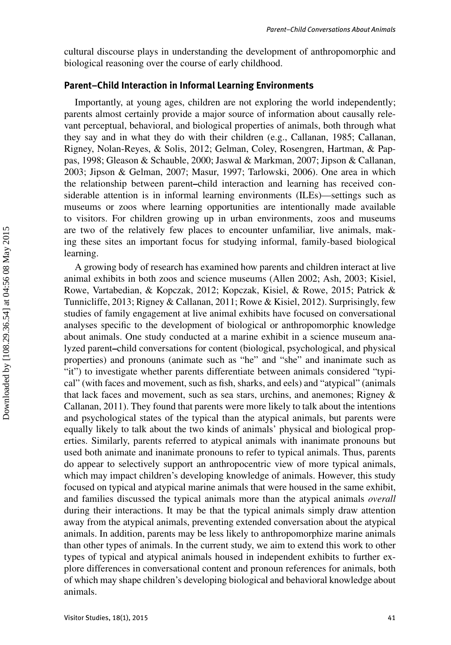cultural discourse plays in understanding the development of anthropomorphic and biological reasoning over the course of early childhood.

## **Parent–Child Interaction in Informal Learning Environments**

Importantly, at young ages, children are not exploring the world independently; parents almost certainly provide a major source of information about causally relevant perceptual, behavioral, and biological properties of animals, both through what they say and in what they do with their children (e.g., Callanan, 1985; Callanan, Rigney, Nolan-Reyes, & Solis, 2012; Gelman, Coley, Rosengren, Hartman, & Pappas, 1998; Gleason & Schauble, 2000; Jaswal & Markman, 2007; Jipson & Callanan, 2003; Jipson & Gelman, 2007; Masur, 1997; Tarlowski, 2006). One area in which the relationship between parent**–**child interaction and learning has received considerable attention is in informal learning environments (ILEs)—settings such as museums or zoos where learning opportunities are intentionally made available to visitors. For children growing up in urban environments, zoos and museums are two of the relatively few places to encounter unfamiliar, live animals, making these sites an important focus for studying informal, family-based biological learning.

A growing body of research has examined how parents and children interact at live animal exhibits in both zoos and science museums (Allen 2002; Ash, 2003; Kisiel, Rowe, Vartabedian, & Kopczak, 2012; Kopczak, Kisiel, & Rowe, 2015; Patrick & Tunnicliffe, 2013; Rigney & Callanan, 2011; Rowe & Kisiel, 2012). Surprisingly, few studies of family engagement at live animal exhibits have focused on conversational analyses specific to the development of biological or anthropomorphic knowledge about animals. One study conducted at a marine exhibit in a science museum analyzed parent**–**child conversations for content (biological, psychological, and physical properties) and pronouns (animate such as "he" and "she" and inanimate such as "it") to investigate whether parents differentiate between animals considered "typical" (with faces and movement, such as fish, sharks, and eels) and "atypical" (animals that lack faces and movement, such as sea stars, urchins, and anemones; Rigney & Callanan, 2011). They found that parents were more likely to talk about the intentions and psychological states of the typical than the atypical animals, but parents were equally likely to talk about the two kinds of animals' physical and biological properties. Similarly, parents referred to atypical animals with inanimate pronouns but used both animate and inanimate pronouns to refer to typical animals. Thus, parents do appear to selectively support an anthropocentric view of more typical animals, which may impact children's developing knowledge of animals. However, this study focused on typical and atypical marine animals that were housed in the same exhibit, and families discussed the typical animals more than the atypical animals *overall* during their interactions. It may be that the typical animals simply draw attention away from the atypical animals, preventing extended conversation about the atypical animals. In addition, parents may be less likely to anthropomorphize marine animals than other types of animals. In the current study, we aim to extend this work to other types of typical and atypical animals housed in independent exhibits to further explore differences in conversational content and pronoun references for animals, both of which may shape children's developing biological and behavioral knowledge about animals.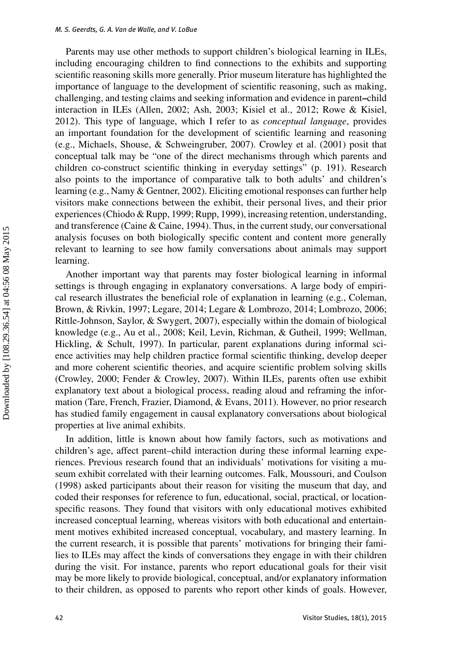Parents may use other methods to support children's biological learning in ILEs, including encouraging children to find connections to the exhibits and supporting scientific reasoning skills more generally. Prior museum literature has highlighted the importance of language to the development of scientific reasoning, such as making, challenging, and testing claims and seeking information and evidence in parent**–**child interaction in ILEs (Allen, 2002; Ash, 2003; Kisiel et al., 2012; Rowe & Kisiel, 2012). This type of language, which I refer to as *conceptual language*, provides an important foundation for the development of scientific learning and reasoning (e.g., Michaels, Shouse, & Schweingruber, 2007). Crowley et al. (2001) posit that conceptual talk may be "one of the direct mechanisms through which parents and children co-construct scientific thinking in everyday settings" (p. 191). Research also points to the importance of comparative talk to both adults' and children's learning (e.g., Namy & Gentner, 2002). Eliciting emotional responses can further help visitors make connections between the exhibit, their personal lives, and their prior experiences (Chiodo & Rupp, 1999; Rupp, 1999), increasing retention, understanding, and transference (Caine & Caine, 1994). Thus, in the current study, our conversational analysis focuses on both biologically specific content and content more generally relevant to learning to see how family conversations about animals may support learning.

Another important way that parents may foster biological learning in informal settings is through engaging in explanatory conversations. A large body of empirical research illustrates the beneficial role of explanation in learning (e.g., Coleman, Brown, & Rivkin, 1997; Legare, 2014; Legare & Lombrozo, 2014; Lombrozo, 2006; Rittle-Johnson, Saylor, & Swygert, 2007), especially within the domain of biological knowledge (e.g., Au et al., 2008; Keil, Levin, Richman, & Gutheil, 1999; Wellman, Hickling, & Schult, 1997). In particular, parent explanations during informal science activities may help children practice formal scientific thinking, develop deeper and more coherent scientific theories, and acquire scientific problem solving skills (Crowley, 2000; Fender & Crowley, 2007). Within ILEs, parents often use exhibit explanatory text about a biological process, reading aloud and reframing the information (Tare, French, Frazier, Diamond, & Evans, 2011). However, no prior research has studied family engagement in causal explanatory conversations about biological properties at live animal exhibits.

In addition, little is known about how family factors, such as motivations and children's age, affect parent–child interaction during these informal learning experiences. Previous research found that an individuals' motivations for visiting a museum exhibit correlated with their learning outcomes. Falk, Moussouri, and Coulson (1998) asked participants about their reason for visiting the museum that day, and coded their responses for reference to fun, educational, social, practical, or locationspecific reasons. They found that visitors with only educational motives exhibited increased conceptual learning, whereas visitors with both educational and entertainment motives exhibited increased conceptual, vocabulary, and mastery learning. In the current research, it is possible that parents' motivations for bringing their families to ILEs may affect the kinds of conversations they engage in with their children during the visit. For instance, parents who report educational goals for their visit may be more likely to provide biological, conceptual, and/or explanatory information to their children, as opposed to parents who report other kinds of goals. However,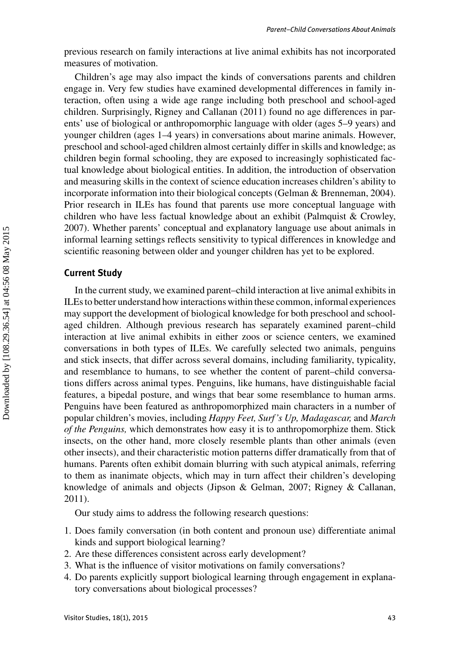previous research on family interactions at live animal exhibits has not incorporated measures of motivation.

Children's age may also impact the kinds of conversations parents and children engage in. Very few studies have examined developmental differences in family interaction, often using a wide age range including both preschool and school-aged children. Surprisingly, Rigney and Callanan (2011) found no age differences in parents' use of biological or anthropomorphic language with older (ages 5–9 years) and younger children (ages 1–4 years) in conversations about marine animals. However, preschool and school-aged children almost certainly differ in skills and knowledge; as children begin formal schooling, they are exposed to increasingly sophisticated factual knowledge about biological entities. In addition, the introduction of observation and measuring skills in the context of science education increases children's ability to incorporate information into their biological concepts (Gelman & Brenneman, 2004). Prior research in ILEs has found that parents use more conceptual language with children who have less factual knowledge about an exhibit (Palmquist & Crowley, 2007). Whether parents' conceptual and explanatory language use about animals in informal learning settings reflects sensitivity to typical differences in knowledge and scientific reasoning between older and younger children has yet to be explored.

## **Current Study**

In the current study, we examined parent–child interaction at live animal exhibits in ILEs to better understand how interactions within these common, informal experiences may support the development of biological knowledge for both preschool and schoolaged children. Although previous research has separately examined parent–child interaction at live animal exhibits in either zoos or science centers, we examined conversations in both types of ILEs. We carefully selected two animals, penguins and stick insects, that differ across several domains, including familiarity, typicality, and resemblance to humans, to see whether the content of parent–child conversations differs across animal types. Penguins, like humans, have distinguishable facial features, a bipedal posture, and wings that bear some resemblance to human arms. Penguins have been featured as anthropomorphized main characters in a number of popular children's movies, including *Happy Feet, Surf 's Up, Madagascar,* and *March of the Penguins,* which demonstrates how easy it is to anthropomorphize them. Stick insects, on the other hand, more closely resemble plants than other animals (even other insects), and their characteristic motion patterns differ dramatically from that of humans. Parents often exhibit domain blurring with such atypical animals, referring to them as inanimate objects, which may in turn affect their children's developing knowledge of animals and objects (Jipson & Gelman, 2007; Rigney & Callanan, 2011).

Our study aims to address the following research questions:

- 1. Does family conversation (in both content and pronoun use) differentiate animal kinds and support biological learning?
- 2. Are these differences consistent across early development?
- 3. What is the influence of visitor motivations on family conversations?
- 4. Do parents explicitly support biological learning through engagement in explanatory conversations about biological processes?

Downloaded by [108.29.36.54] at 04:56 08 May 2015 Downloaded by [108.29.36.54] at 04:56 08 May 2015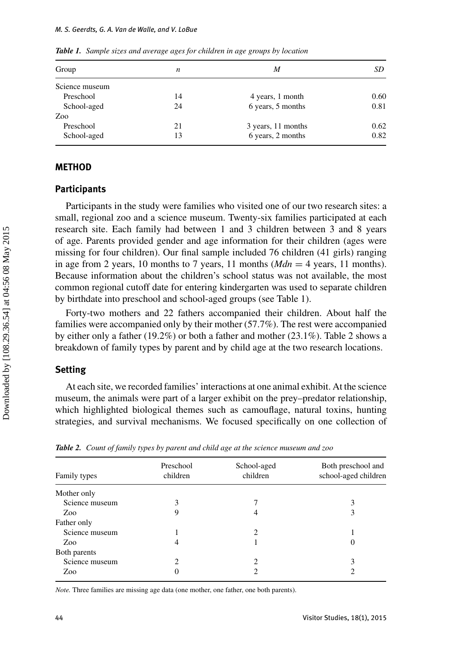| Group          | n  | M                  | SD   |
|----------------|----|--------------------|------|
| Science museum |    |                    |      |
| Preschool      | 14 | 4 years, 1 month   | 0.60 |
| School-aged    | 24 | 6 years, 5 months  | 0.81 |
| Zoo            |    |                    |      |
| Preschool      | 21 | 3 years, 11 months | 0.62 |
| School-aged    | 13 | 6 years, 2 months  | 0.82 |

*Table 1. Sample sizes and average ages for children in age groups by location*

#### **METHOD**

## **Participants**

Participants in the study were families who visited one of our two research sites: a small, regional zoo and a science museum. Twenty-six families participated at each research site. Each family had between 1 and 3 children between 3 and 8 years of age. Parents provided gender and age information for their children (ages were missing for four children). Our final sample included 76 children (41 girls) ranging in age from 2 years, 10 months to 7 years, 11 months ( $Mdn = 4$  years, 11 months). Because information about the children's school status was not available, the most common regional cutoff date for entering kindergarten was used to separate children by birthdate into preschool and school-aged groups (see Table 1).

Forty-two mothers and 22 fathers accompanied their children. About half the families were accompanied only by their mother (57.7%). The rest were accompanied by either only a father (19.2%) or both a father and mother (23.1%). Table 2 shows a breakdown of family types by parent and by child age at the two research locations.

## **Setting**

At each site, we recorded families' interactions at one animal exhibit. At the science museum, the animals were part of a larger exhibit on the prey–predator relationship, which highlighted biological themes such as camouflage, natural toxins, hunting strategies, and survival mechanisms. We focused specifically on one collection of

| Family types   | Preschool<br>children | School-aged<br>children | Both preschool and<br>school-aged children |
|----------------|-----------------------|-------------------------|--------------------------------------------|
| Mother only    |                       |                         |                                            |
| Science museum |                       |                         |                                            |
| Zoo            |                       | 4                       |                                            |
| Father only    |                       |                         |                                            |
| Science museum |                       | $\mathfrak{D}$          |                                            |
| Zoo            | 4                     |                         | O                                          |
| Both parents   |                       |                         |                                            |
| Science museum | 2                     | 2                       |                                            |
| Zoo            |                       | ∍                       |                                            |
|                |                       |                         |                                            |

*Table 2. Count of family types by parent and child age at the science museum and zoo*

*Note.* Three families are missing age data (one mother, one father, one both parents).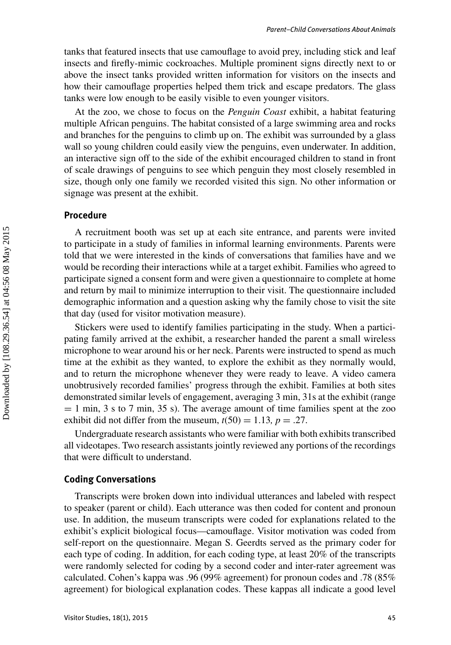tanks that featured insects that use camouflage to avoid prey, including stick and leaf insects and firefly-mimic cockroaches. Multiple prominent signs directly next to or above the insect tanks provided written information for visitors on the insects and how their camouflage properties helped them trick and escape predators. The glass tanks were low enough to be easily visible to even younger visitors.

At the zoo, we chose to focus on the *Penguin Coast* exhibit, a habitat featuring multiple African penguins. The habitat consisted of a large swimming area and rocks and branches for the penguins to climb up on. The exhibit was surrounded by a glass wall so young children could easily view the penguins, even underwater. In addition, an interactive sign off to the side of the exhibit encouraged children to stand in front of scale drawings of penguins to see which penguin they most closely resembled in size, though only one family we recorded visited this sign. No other information or signage was present at the exhibit.

## **Procedure**

A recruitment booth was set up at each site entrance, and parents were invited to participate in a study of families in informal learning environments. Parents were told that we were interested in the kinds of conversations that families have and we would be recording their interactions while at a target exhibit. Families who agreed to participate signed a consent form and were given a questionnaire to complete at home and return by mail to minimize interruption to their visit. The questionnaire included demographic information and a question asking why the family chose to visit the site that day (used for visitor motivation measure).

Stickers were used to identify families participating in the study. When a participating family arrived at the exhibit, a researcher handed the parent a small wireless microphone to wear around his or her neck. Parents were instructed to spend as much time at the exhibit as they wanted, to explore the exhibit as they normally would, and to return the microphone whenever they were ready to leave. A video camera unobtrusively recorded families' progress through the exhibit. Families at both sites demonstrated similar levels of engagement, averaging 3 min, 31s at the exhibit (range  $= 1$  min, 3 s to 7 min, 35 s). The average amount of time families spent at the zoo exhibit did not differ from the museum,  $t(50) = 1.13$ ,  $p = .27$ .

Undergraduate research assistants who were familiar with both exhibits transcribed all videotapes. Two research assistants jointly reviewed any portions of the recordings that were difficult to understand.

#### **Coding Conversations**

Transcripts were broken down into individual utterances and labeled with respect to speaker (parent or child). Each utterance was then coded for content and pronoun use. In addition, the museum transcripts were coded for explanations related to the exhibit's explicit biological focus—camouflage. Visitor motivation was coded from self-report on the questionnaire. Megan S. Geerdts served as the primary coder for each type of coding. In addition, for each coding type, at least 20% of the transcripts were randomly selected for coding by a second coder and inter-rater agreement was calculated. Cohen's kappa was .96 (99% agreement) for pronoun codes and .78 (85% agreement) for biological explanation codes. These kappas all indicate a good level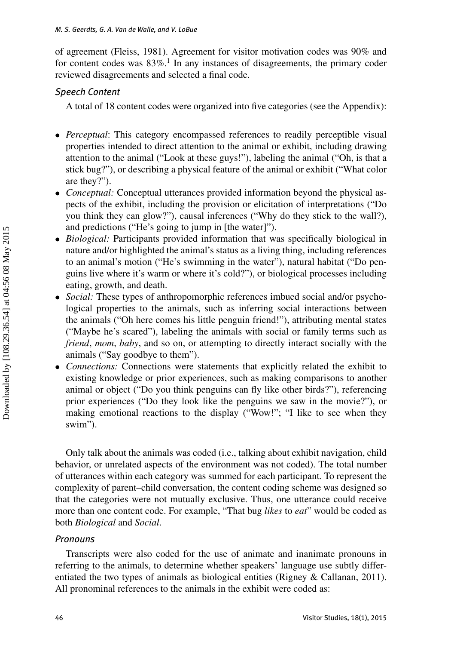of agreement (Fleiss, 1981). Agreement for visitor motivation codes was 90% and for content codes was  $83\%$ .<sup>1</sup> In any instances of disagreements, the primary coder reviewed disagreements and selected a final code.

## *Speech Content*

A total of 18 content codes were organized into five categories (see the Appendix):

- *Perceptual*: This category encompassed references to readily perceptible visual properties intended to direct attention to the animal or exhibit, including drawing attention to the animal ("Look at these guys!"), labeling the animal ("Oh, is that a stick bug?"), or describing a physical feature of the animal or exhibit ("What color are they?").
- *Conceptual:* Conceptual utterances provided information beyond the physical aspects of the exhibit, including the provision or elicitation of interpretations ("Do you think they can glow?"), causal inferences ("Why do they stick to the wall?), and predictions ("He's going to jump in [the water]").
- *Biological:* Participants provided information that was specifically biological in nature and/or highlighted the animal's status as a living thing, including references to an animal's motion ("He's swimming in the water"), natural habitat ("Do penguins live where it's warm or where it's cold?"), or biological processes including eating, growth, and death.
- *Social:* These types of anthropomorphic references imbued social and/or psychological properties to the animals, such as inferring social interactions between the animals ("Oh here comes his little penguin friend!"), attributing mental states ("Maybe he's scared"), labeling the animals with social or family terms such as *friend*, *mom*, *baby*, and so on, or attempting to directly interact socially with the animals ("Say goodbye to them").
- *Connections:* Connections were statements that explicitly related the exhibit to existing knowledge or prior experiences, such as making comparisons to another animal or object ("Do you think penguins can fly like other birds?"), referencing prior experiences ("Do they look like the penguins we saw in the movie?"), or making emotional reactions to the display ("Wow!"; "I like to see when they swim").

Only talk about the animals was coded (i.e., talking about exhibit navigation, child behavior, or unrelated aspects of the environment was not coded). The total number of utterances within each category was summed for each participant. To represent the complexity of parent–child conversation, the content coding scheme was designed so that the categories were not mutually exclusive. Thus, one utterance could receive more than one content code. For example, "That bug *likes* to *eat*" would be coded as both *Biological* and *Social*.

## *Pronouns*

Transcripts were also coded for the use of animate and inanimate pronouns in referring to the animals, to determine whether speakers' language use subtly differentiated the two types of animals as biological entities (Rigney & Callanan, 2011). All pronominal references to the animals in the exhibit were coded as: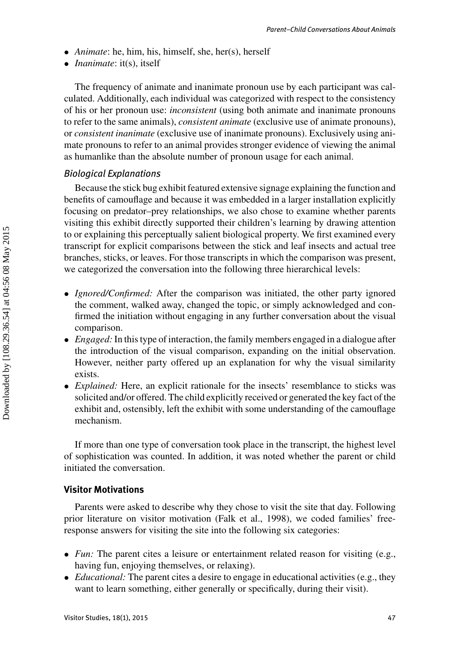- *Animate*: he, him, his, himself, she, her(s), herself
- *Inanimate*: it(s), itself

The frequency of animate and inanimate pronoun use by each participant was calculated. Additionally, each individual was categorized with respect to the consistency of his or her pronoun use: *inconsistent* (using both animate and inanimate pronouns to refer to the same animals), *consistent animate* (exclusive use of animate pronouns), or *consistent inanimate* (exclusive use of inanimate pronouns). Exclusively using animate pronouns to refer to an animal provides stronger evidence of viewing the animal as humanlike than the absolute number of pronoun usage for each animal.

## *Biological Explanations*

Because the stick bug exhibit featured extensive signage explaining the function and benefits of camouflage and because it was embedded in a larger installation explicitly focusing on predator–prey relationships, we also chose to examine whether parents visiting this exhibit directly supported their children's learning by drawing attention to or explaining this perceptually salient biological property. We first examined every transcript for explicit comparisons between the stick and leaf insects and actual tree branches, sticks, or leaves. For those transcripts in which the comparison was present, we categorized the conversation into the following three hierarchical levels:

- *Ignored/Confirmed:* After the comparison was initiated, the other party ignored the comment, walked away, changed the topic, or simply acknowledged and confirmed the initiation without engaging in any further conversation about the visual comparison.
- *Engaged:* In this type of interaction, the family members engaged in a dialogue after the introduction of the visual comparison, expanding on the initial observation. However, neither party offered up an explanation for why the visual similarity exists.
- *Explained:* Here, an explicit rationale for the insects' resemblance to sticks was solicited and/or offered. The child explicitly received or generated the key fact of the exhibit and, ostensibly, left the exhibit with some understanding of the camouflage mechanism.

If more than one type of conversation took place in the transcript, the highest level of sophistication was counted. In addition, it was noted whether the parent or child initiated the conversation.

## **Visitor Motivations**

Parents were asked to describe why they chose to visit the site that day. Following prior literature on visitor motivation (Falk et al., 1998), we coded families' freeresponse answers for visiting the site into the following six categories:

- *Fun:* The parent cites a leisure or entertainment related reason for visiting (e.g., having fun, enjoying themselves, or relaxing).
- *Educational:* The parent cites a desire to engage in educational activities (e.g., they want to learn something, either generally or specifically, during their visit).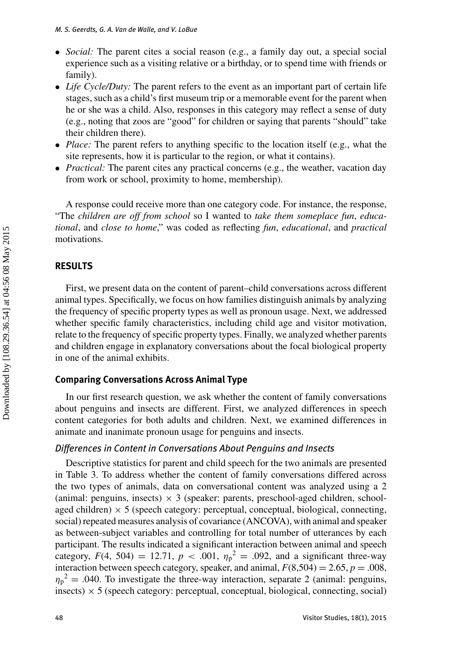- *Social:* The parent cites a social reason (e.g., a family day out, a special social experience such as a visiting relative or a birthday, or to spend time with friends or family).
- *Life Cycle/Duty:* The parent refers to the event as an important part of certain life stages, such as a child's first museum trip or a memorable event for the parent when he or she was a child. Also, responses in this category may reflect a sense of duty (e.g., noting that zoos are "good" for children or saying that parents "should" take their children there).
- *Place:* The parent refers to anything specific to the location itself (e.g., what the site represents, how it is particular to the region, or what it contains).
- *Practical:* The parent cites any practical concerns (e.g., the weather, vacation day from work or school, proximity to home, membership).

A response could receive more than one category code. For instance, the response, "The *children are off from school* so I wanted to *take them someplace fun*, *educational*, and *close to home*," was coded as reflecting *fun*, *educational*, and *practical* motivations.

## **RESULTS**

First, we present data on the content of parent–child conversations across different animal types. Specifically, we focus on how families distinguish animals by analyzing the frequency of specific property types as well as pronoun usage. Next, we addressed whether specific family characteristics, including child age and visitor motivation, relate to the frequency of specific property types. Finally, we analyzed whether parents and children engage in explanatory conversations about the focal biological property in one of the animal exhibits.

## **Comparing Conversations Across Animal Type**

In our first research question, we ask whether the content of family conversations about penguins and insects are different. First, we analyzed differences in speech content categories for both adults and children. Next, we examined differences in animate and inanimate pronoun usage for penguins and insects.

## *Differences in Content in Conversations About Penguins and Insects*

Descriptive statistics for parent and child speech for the two animals are presented in Table 3. To address whether the content of family conversations differed across the two types of animals, data on conversational content was analyzed using a 2 (animal: penguins, insects)  $\times$  3 (speaker: parents, preschool-aged children, schoolaged children)  $\times$  5 (speech category: perceptual, conceptual, biological, connecting, social) repeated measures analysis of covariance (ANCOVA), with animal and speaker as between-subject variables and controlling for total number of utterances by each participant. The results indicated a significant interaction between animal and speech category,  $F(4, 504) = 12.71$ ,  $p < .001$ ,  $\eta_p^2 = .092$ , and a significant three-way interaction between speech category, speaker, and animal,  $F(8,504) = 2.65$ ,  $p = .008$ ,  $\eta_p^2$  = .040. To investigate the three-way interaction, separate 2 (animal: penguins,  $\text{insects)} \times 5$  (speech category: perceptual, conceptual, biological, connecting, social)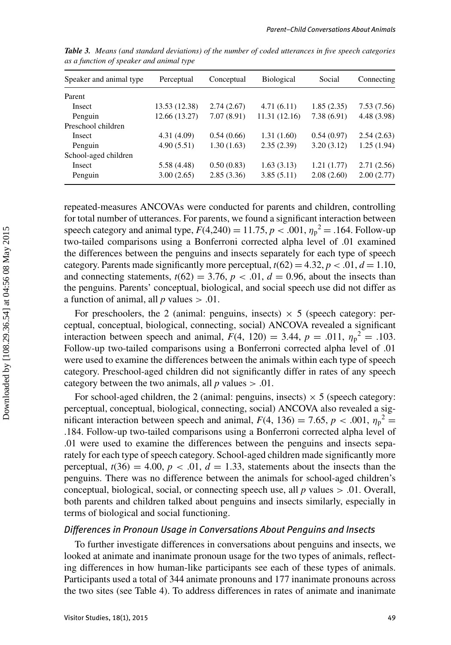| Speaker and animal type | Perceptual    | Conceptual | <b>Biological</b> | Social     | Connecting  |
|-------------------------|---------------|------------|-------------------|------------|-------------|
| Parent                  |               |            |                   |            |             |
| Insect                  | 13.53 (12.38) | 2.74(2.67) | 4.71(6.11)        | 1.85(2.35) | 7.53(7.56)  |
| Penguin                 | 12.66 (13.27) | 7.07(8.91) | 11.31 (12.16)     | 7.38(6.91) | 4.48 (3.98) |
| Preschool children      |               |            |                   |            |             |
| <b>Insect</b>           | 4.31(4.09)    | 0.54(0.66) | 1.31(1.60)        | 0.54(0.97) | 2.54(2.63)  |
| Penguin                 | 4.90(5.51)    | 1.30(1.63) | 2.35(2.39)        | 3.20(3.12) | 1.25(1.94)  |
| School-aged children    |               |            |                   |            |             |
| Insect                  | 5.58 (4.48)   | 0.50(0.83) | 1.63(3.13)        | 1.21(1.77) | 2.71(2.56)  |
| Penguin                 | 3.00(2.65)    | 2.85(3.36) | 3.85(5.11)        | 2.08(2.60) | 2.00(2.77)  |

*Table 3. Means (and standard deviations) of the number of coded utterances in five speech categories as a function of speaker and animal type*

repeated-measures ANCOVAs were conducted for parents and children, controlling for total number of utterances. For parents, we found a significant interaction between speech category and animal type,  $F(4,240) = 11.75, p < .001, \eta_p^2 = .164$ . Follow-up two-tailed comparisons using a Bonferroni corrected alpha level of .01 examined the differences between the penguins and insects separately for each type of speech category. Parents made significantly more perceptual,  $t(62) = 4.32$ ,  $p < .01$ ,  $d = 1.10$ , and connecting statements,  $t(62) = 3.76$ ,  $p < .01$ ,  $d = 0.96$ , about the insects than the penguins. Parents' conceptual, biological, and social speech use did not differ as a function of animal, all  $p$  values  $> .01$ .

For preschoolers, the 2 (animal: penguins, insects)  $\times$  5 (speech category: perceptual, conceptual, biological, connecting, social) ANCOVA revealed a significant interaction between speech and animal,  $F(4, 120) = 3.44$ ,  $p = .011$ ,  $\eta_p^2 = .103$ . Follow-up two-tailed comparisons using a Bonferroni corrected alpha level of .01 were used to examine the differences between the animals within each type of speech category. Preschool-aged children did not significantly differ in rates of any speech category between the two animals, all  $p$  values  $> .01$ .

For school-aged children, the 2 (animal: penguins, insects)  $\times$  5 (speech category: perceptual, conceptual, biological, connecting, social) ANCOVA also revealed a significant interaction between speech and animal,  $F(4, 136) = 7.65$ ,  $p < .001$ ,  $\eta_p^2 =$ .184. Follow-up two-tailed comparisons using a Bonferroni corrected alpha level of .01 were used to examine the differences between the penguins and insects separately for each type of speech category. School-aged children made significantly more perceptual,  $t(36) = 4.00$ ,  $p < .01$ ,  $d = 1.33$ , statements about the insects than the penguins. There was no difference between the animals for school-aged children's conceptual, biological, social, or connecting speech use, all *p* values > .01. Overall, both parents and children talked about penguins and insects similarly, especially in terms of biological and social functioning.

#### *Differences in Pronoun Usage in Conversations About Penguins and Insects*

To further investigate differences in conversations about penguins and insects, we looked at animate and inanimate pronoun usage for the two types of animals, reflecting differences in how human-like participants see each of these types of animals. Participants used a total of 344 animate pronouns and 177 inanimate pronouns across the two sites (see Table 4). To address differences in rates of animate and inanimate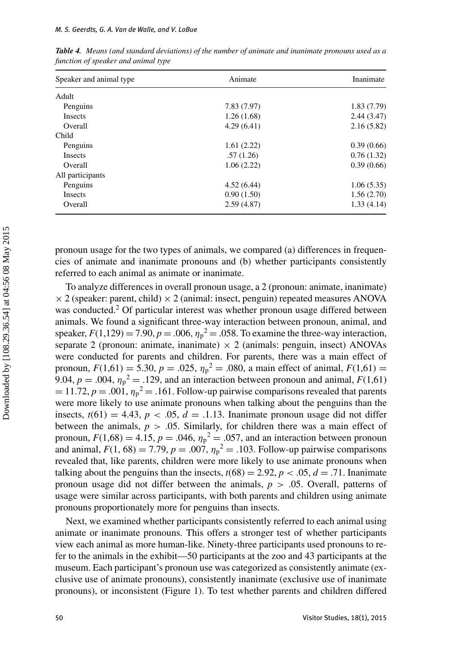| Speaker and animal type | Animate     | Inanimate  |  |
|-------------------------|-------------|------------|--|
| Adult                   |             |            |  |
| Penguins                | 7.83 (7.97) | 1.83(7.79) |  |
| <b>Insects</b>          | 1.26(1.68)  | 2.44(3.47) |  |
| Overall                 | 4.29(6.41)  | 2.16(5.82) |  |
| Child                   |             |            |  |
| Penguins                | 1.61(2.22)  | 0.39(0.66) |  |
| <b>Insects</b>          | .57(1.26)   | 0.76(1.32) |  |
| Overall                 | 1.06(2.22)  | 0.39(0.66) |  |
| All participants        |             |            |  |
| Penguins                | 4.52(6.44)  | 1.06(5.35) |  |
| <b>Insects</b>          | 0.90(1.50)  | 1.56(2.70) |  |
| Overall                 | 2.59(4.87)  | 1.33(4.14) |  |

*Table 4. Means (and standard deviations) of the number of animate and inanimate pronouns used as a function of speaker and animal type*

pronoun usage for the two types of animals, we compared (a) differences in frequencies of animate and inanimate pronouns and (b) whether participants consistently referred to each animal as animate or inanimate.

To analyze differences in overall pronoun usage, a 2 (pronoun: animate, inanimate)  $\times$  2 (speaker: parent, child)  $\times$  2 (animal: insect, penguin) repeated measures ANOVA was conducted.<sup>2</sup> Of particular interest was whether pronoun usage differed between animals. We found a significant three-way interaction between pronoun, animal, and speaker,  $F(1,129) = 7.90, p = .006, \eta_p^2 = .058$ . To examine the three-way interaction, separate 2 (pronoun: animate, inanimate)  $\times$  2 (animals: penguin, insect) ANOVAs were conducted for parents and children. For parents, there was a main effect of pronoun,  $F(1,61) = 5.30, p = .025, \eta_p^2 = .080$ , a main effect of animal,  $F(1,61) =$ 9.04,  $p = .004$ ,  $\eta_p^2 = .129$ , and an interaction between pronoun and animal,  $F(1,61)$  $= 11.72, p = .001, \eta_p^2 = .161$ . Follow-up pairwise comparisons revealed that parents were more likely to use animate pronouns when talking about the penguins than the insects,  $t(61) = 4.43$ ,  $p < .05$ ,  $d = .1.13$ . Inanimate pronoun usage did not differ between the animals,  $p > 0.05$ . Similarly, for children there was a main effect of pronoun,  $F(1,68) = 4.15$ ,  $p = .046$ ,  $\eta_p^2 = .057$ , and an interaction between pronoun and animal,  $F(1, 68) = 7.79$ ,  $p = .007$ ,  $\eta_p^2 = .103$ . Follow-up pairwise comparisons revealed that, like parents, children were more likely to use animate pronouns when talking about the penguins than the insects,  $t(68) = 2.92$ ,  $p < .05$ ,  $d = .71$ . Inanimate pronoun usage did not differ between the animals, *p* > .05. Overall, patterns of usage were similar across participants, with both parents and children using animate pronouns proportionately more for penguins than insects.

Next, we examined whether participants consistently referred to each animal using animate or inanimate pronouns. This offers a stronger test of whether participants view each animal as more human-like. Ninety-three participants used pronouns to refer to the animals in the exhibit—50 participants at the zoo and 43 participants at the museum. Each participant's pronoun use was categorized as consistently animate (exclusive use of animate pronouns), consistently inanimate (exclusive use of inanimate pronouns), or inconsistent (Figure 1). To test whether parents and children differed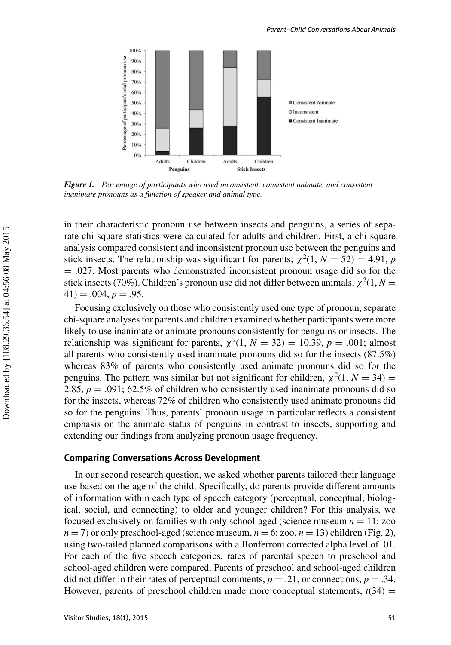

*Figure 1. Percentage of participants who used inconsistent, consistent animate, and consistent inanimate pronouns as a function of speaker and animal type.*

in their characteristic pronoun use between insects and penguins, a series of separate chi-square statistics were calculated for adults and children. First, a chi-square analysis compared consistent and inconsistent pronoun use between the penguins and stick insects. The relationship was significant for parents,  $\chi^2(1, N = 52) = 4.91$ , *p*  $= .027$ . Most parents who demonstrated inconsistent pronoun usage did so for the stick insects (70%). Children's pronoun use did not differ between animals,  $\chi^2(1, N =$  $41) = .004, p = .95.$ 

Focusing exclusively on those who consistently used one type of pronoun, separate chi-square analyses for parents and children examined whether participants were more likely to use inanimate or animate pronouns consistently for penguins or insects. The relationship was significant for parents,  $\chi^2(1, N = 32) = 10.39, p = .001$ ; almost all parents who consistently used inanimate pronouns did so for the insects (87.5%) whereas 83% of parents who consistently used animate pronouns did so for the penguins. The pattern was similar but not significant for children,  $\chi^2(1, N = 34)$  = 2.85,  $p = .091$ ; 62.5% of children who consistently used inanimate pronouns did so for the insects, whereas 72% of children who consistently used animate pronouns did so for the penguins. Thus, parents' pronoun usage in particular reflects a consistent emphasis on the animate status of penguins in contrast to insects, supporting and extending our findings from analyzing pronoun usage frequency.

#### **Comparing Conversations Across Development**

In our second research question, we asked whether parents tailored their language use based on the age of the child. Specifically, do parents provide different amounts of information within each type of speech category (perceptual, conceptual, biological, social, and connecting) to older and younger children? For this analysis, we focused exclusively on families with only school-aged (science museum  $n = 11$ ; zoo  $n = 7$ ) or only preschool-aged (science museum,  $n = 6$ ; zoo,  $n = 13$ ) children (Fig. 2), using two-tailed planned comparisons with a Bonferroni corrected alpha level of .01. For each of the five speech categories, rates of parental speech to preschool and school-aged children were compared. Parents of preschool and school-aged children did not differ in their rates of perceptual comments,  $p = .21$ , or connections,  $p = .34$ . However, parents of preschool children made more conceptual statements,  $t(34)$  =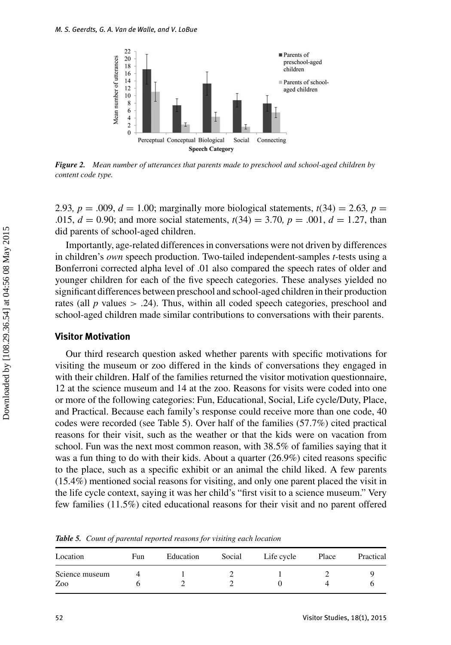

*Figure 2. Mean number of utterances that parents made to preschool and school-aged children by content code type.*

2.93*, p* = .009*, d* = 1.00; marginally more biological statements,  $t(34) = 2.63$ , *p* = .015, *d* = 0.90; and more social statements, *t*(34) = 3.70*, p* = .001, *d* = 1.27, than did parents of school-aged children.

Importantly, age-related differences in conversations were not driven by differences in children's *own* speech production. Two-tailed independent-samples *t-*tests using a Bonferroni corrected alpha level of .01 also compared the speech rates of older and younger children for each of the five speech categories. These analyses yielded no significant differences between preschool and school-aged children in their production rates (all  $p$  values  $> .24$ ). Thus, within all coded speech categories, preschool and school-aged children made similar contributions to conversations with their parents.

## **Visitor Motivation**

Our third research question asked whether parents with specific motivations for visiting the museum or zoo differed in the kinds of conversations they engaged in with their children. Half of the families returned the visitor motivation questionnaire, 12 at the science museum and 14 at the zoo. Reasons for visits were coded into one or more of the following categories: Fun, Educational, Social, Life cycle/Duty, Place, and Practical. Because each family's response could receive more than one code, 40 codes were recorded (see Table 5). Over half of the families (57.7%) cited practical reasons for their visit, such as the weather or that the kids were on vacation from school. Fun was the next most common reason, with 38.5% of families saying that it was a fun thing to do with their kids. About a quarter (26.9%) cited reasons specific to the place, such as a specific exhibit or an animal the child liked. A few parents (15.4%) mentioned social reasons for visiting, and only one parent placed the visit in the life cycle context, saying it was her child's "first visit to a science museum." Very few families (11.5%) cited educational reasons for their visit and no parent offered

| Location       | Fun | Education | Social | Life cycle | Place | Practical |
|----------------|-----|-----------|--------|------------|-------|-----------|
| Science museum |     |           |        |            |       |           |
| Zoo            |     |           |        |            |       |           |

*Table 5. Count of parental reported reasons for visiting each location*

Downloaded by [108.29.36.54] at 04:56 08 May 2015

Downloaded by [108.29.36.54] at 04:56 08 May 2015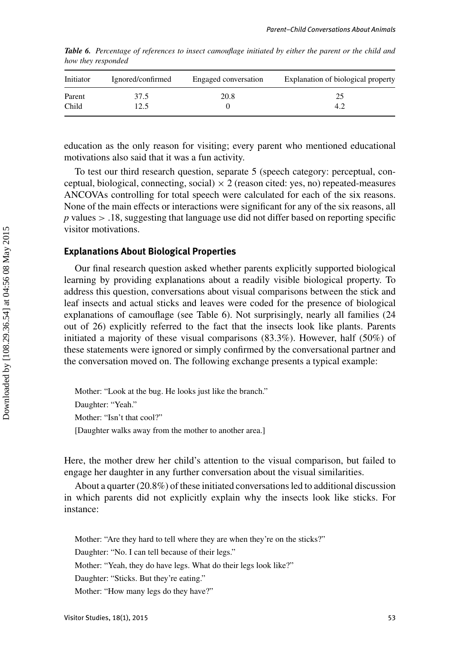| Initiator | Ignored/confirmed | Engaged conversation | Explanation of biological property |
|-----------|-------------------|----------------------|------------------------------------|
| Parent    | 37.5              | 20.8                 | 25                                 |
| Child     | 2.5               |                      | 4.2                                |

*Table 6. Percentage of references to insect camouflage initiated by either the parent or the child and how they responded*

education as the only reason for visiting; every parent who mentioned educational motivations also said that it was a fun activity.

To test our third research question, separate 5 (speech category: perceptual, conceptual, biological, connecting, social)  $\times$  2 (reason cited: yes, no) repeated-measures ANCOVAs controlling for total speech were calculated for each of the six reasons. None of the main effects or interactions were significant for any of the six reasons, all *p* values > .18, suggesting that language use did not differ based on reporting specific visitor motivations.

## **Explanations About Biological Properties**

Our final research question asked whether parents explicitly supported biological learning by providing explanations about a readily visible biological property. To address this question, conversations about visual comparisons between the stick and leaf insects and actual sticks and leaves were coded for the presence of biological explanations of camouflage (see Table 6). Not surprisingly, nearly all families (24 out of 26) explicitly referred to the fact that the insects look like plants. Parents initiated a majority of these visual comparisons (83.3%). However, half (50%) of these statements were ignored or simply confirmed by the conversational partner and the conversation moved on. The following exchange presents a typical example:

Mother: "Look at the bug. He looks just like the branch." Daughter: "Yeah." Mother: "Isn't that cool?" [Daughter walks away from the mother to another area.]

Here, the mother drew her child's attention to the visual comparison, but failed to engage her daughter in any further conversation about the visual similarities.

About a quarter (20.8%) of these initiated conversations led to additional discussion in which parents did not explicitly explain why the insects look like sticks. For instance:

Mother: "Are they hard to tell where they are when they're on the sticks?"

Daughter: "No. I can tell because of their legs."

Mother: "Yeah, they do have legs. What do their legs look like?"

Daughter: "Sticks. But they're eating."

Mother: "How many legs do they have?"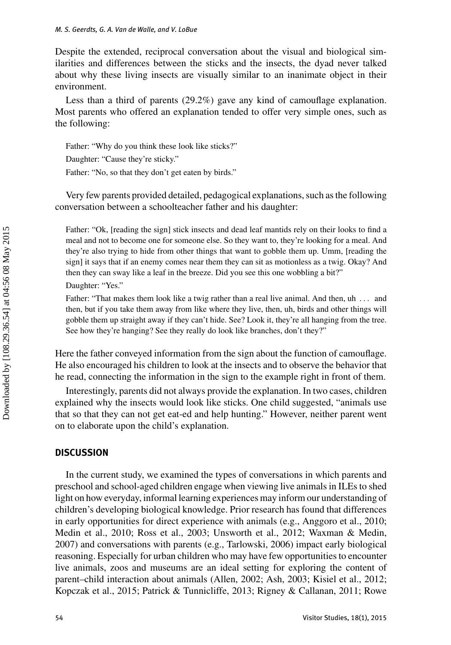Despite the extended, reciprocal conversation about the visual and biological similarities and differences between the sticks and the insects, the dyad never talked about why these living insects are visually similar to an inanimate object in their environment.

Less than a third of parents (29.2%) gave any kind of camouflage explanation. Most parents who offered an explanation tended to offer very simple ones, such as the following:

Father: "Why do you think these look like sticks?" Daughter: "Cause they're sticky." Father: "No, so that they don't get eaten by birds."

Very few parents provided detailed, pedagogical explanations, such as the following conversation between a schoolteacher father and his daughter:

Father: "Ok, [reading the sign] stick insects and dead leaf mantids rely on their looks to find a meal and not to become one for someone else. So they want to, they're looking for a meal. And they're also trying to hide from other things that want to gobble them up. Umm, [reading the sign] it says that if an enemy comes near them they can sit as motionless as a twig. Okay? And then they can sway like a leaf in the breeze. Did you see this one wobbling a bit?" Daughter: "Yes."

Father: "That makes them look like a twig rather than a real live animal. And then, uh ... and then, but if you take them away from like where they live, then, uh, birds and other things will gobble them up straight away if they can't hide. See? Look it, they're all hanging from the tree. See how they're hanging? See they really do look like branches, don't they?"

Here the father conveyed information from the sign about the function of camouflage. He also encouraged his children to look at the insects and to observe the behavior that he read, connecting the information in the sign to the example right in front of them.

Interestingly, parents did not always provide the explanation. In two cases, children explained why the insects would look like sticks. One child suggested, "animals use that so that they can not get eat-ed and help hunting." However, neither parent went on to elaborate upon the child's explanation.

## **DISCUSSION**

In the current study, we examined the types of conversations in which parents and preschool and school-aged children engage when viewing live animals in ILEs to shed light on how everyday, informal learning experiences may inform our understanding of children's developing biological knowledge. Prior research has found that differences in early opportunities for direct experience with animals (e.g., Anggoro et al., 2010; Medin et al., 2010; Ross et al., 2003; Unsworth et al., 2012; Waxman & Medin, 2007) and conversations with parents (e.g., Tarlowski, 2006) impact early biological reasoning. Especially for urban children who may have few opportunities to encounter live animals, zoos and museums are an ideal setting for exploring the content of parent–child interaction about animals (Allen, 2002; Ash, 2003; Kisiel et al., 2012; Kopczak et al., 2015; Patrick & Tunnicliffe, 2013; Rigney & Callanan, 2011; Rowe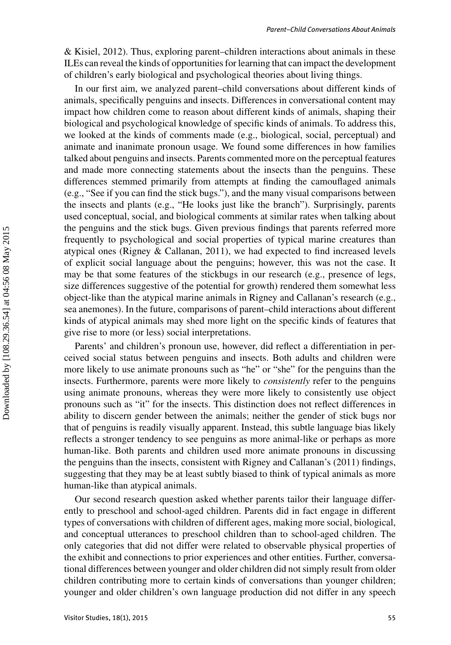& Kisiel, 2012). Thus, exploring parent–children interactions about animals in these ILEs can reveal the kinds of opportunities for learning that can impact the development of children's early biological and psychological theories about living things.

In our first aim, we analyzed parent–child conversations about different kinds of animals, specifically penguins and insects. Differences in conversational content may impact how children come to reason about different kinds of animals, shaping their biological and psychological knowledge of specific kinds of animals. To address this, we looked at the kinds of comments made (e.g., biological, social, perceptual) and animate and inanimate pronoun usage. We found some differences in how families talked about penguins and insects. Parents commented more on the perceptual features and made more connecting statements about the insects than the penguins. These differences stemmed primarily from attempts at finding the camouflaged animals (e.g., "See if you can find the stick bugs."), and the many visual comparisons between the insects and plants (e.g., "He looks just like the branch"). Surprisingly, parents used conceptual, social, and biological comments at similar rates when talking about the penguins and the stick bugs. Given previous findings that parents referred more frequently to psychological and social properties of typical marine creatures than atypical ones (Rigney & Callanan, 2011), we had expected to find increased levels of explicit social language about the penguins; however, this was not the case. It may be that some features of the stickbugs in our research (e.g., presence of legs, size differences suggestive of the potential for growth) rendered them somewhat less object-like than the atypical marine animals in Rigney and Callanan's research (e.g., sea anemones). In the future, comparisons of parent–child interactions about different kinds of atypical animals may shed more light on the specific kinds of features that give rise to more (or less) social interpretations.

Parents' and children's pronoun use, however, did reflect a differentiation in perceived social status between penguins and insects. Both adults and children were more likely to use animate pronouns such as "he" or "she" for the penguins than the insects. Furthermore, parents were more likely to *consistently* refer to the penguins using animate pronouns, whereas they were more likely to consistently use object pronouns such as "it" for the insects. This distinction does not reflect differences in ability to discern gender between the animals; neither the gender of stick bugs nor that of penguins is readily visually apparent. Instead, this subtle language bias likely reflects a stronger tendency to see penguins as more animal-like or perhaps as more human-like. Both parents and children used more animate pronouns in discussing the penguins than the insects, consistent with Rigney and Callanan's (2011) findings, suggesting that they may be at least subtly biased to think of typical animals as more human-like than atypical animals.

Our second research question asked whether parents tailor their language differently to preschool and school-aged children. Parents did in fact engage in different types of conversations with children of different ages, making more social, biological, and conceptual utterances to preschool children than to school-aged children. The only categories that did not differ were related to observable physical properties of the exhibit and connections to prior experiences and other entities. Further, conversational differences between younger and older children did not simply result from older children contributing more to certain kinds of conversations than younger children; younger and older children's own language production did not differ in any speech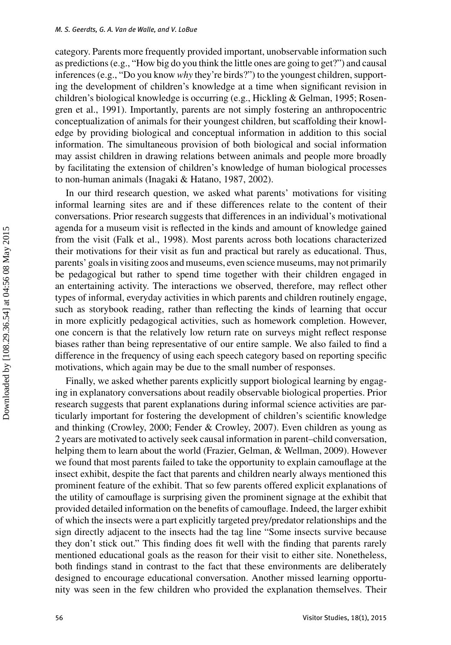category. Parents more frequently provided important, unobservable information such as predictions (e.g., "How big do you think the little ones are going to get?") and causal inferences (e.g., "Do you know *why* they're birds?") to the youngest children, supporting the development of children's knowledge at a time when significant revision in children's biological knowledge is occurring (e.g., Hickling & Gelman, 1995; Rosengren et al., 1991). Importantly, parents are not simply fostering an anthropocentric conceptualization of animals for their youngest children, but scaffolding their knowledge by providing biological and conceptual information in addition to this social information. The simultaneous provision of both biological and social information may assist children in drawing relations between animals and people more broadly by facilitating the extension of children's knowledge of human biological processes to non-human animals (Inagaki & Hatano, 1987, 2002).

In our third research question, we asked what parents' motivations for visiting informal learning sites are and if these differences relate to the content of their conversations. Prior research suggests that differences in an individual's motivational agenda for a museum visit is reflected in the kinds and amount of knowledge gained from the visit (Falk et al., 1998). Most parents across both locations characterized their motivations for their visit as fun and practical but rarely as educational. Thus, parents' goals in visiting zoos and museums, even science museums, may not primarily be pedagogical but rather to spend time together with their children engaged in an entertaining activity. The interactions we observed, therefore, may reflect other types of informal, everyday activities in which parents and children routinely engage, such as storybook reading, rather than reflecting the kinds of learning that occur in more explicitly pedagogical activities, such as homework completion. However, one concern is that the relatively low return rate on surveys might reflect response biases rather than being representative of our entire sample. We also failed to find a difference in the frequency of using each speech category based on reporting specific motivations, which again may be due to the small number of responses.

Finally, we asked whether parents explicitly support biological learning by engaging in explanatory conversations about readily observable biological properties. Prior research suggests that parent explanations during informal science activities are particularly important for fostering the development of children's scientific knowledge and thinking (Crowley, 2000; Fender & Crowley, 2007). Even children as young as 2 years are motivated to actively seek causal information in parent–child conversation, helping them to learn about the world (Frazier, Gelman, & Wellman, 2009). However we found that most parents failed to take the opportunity to explain camouflage at the insect exhibit, despite the fact that parents and children nearly always mentioned this prominent feature of the exhibit. That so few parents offered explicit explanations of the utility of camouflage is surprising given the prominent signage at the exhibit that provided detailed information on the benefits of camouflage. Indeed, the larger exhibit of which the insects were a part explicitly targeted prey/predator relationships and the sign directly adjacent to the insects had the tag line "Some insects survive because they don't stick out." This finding does fit well with the finding that parents rarely mentioned educational goals as the reason for their visit to either site. Nonetheless, both findings stand in contrast to the fact that these environments are deliberately designed to encourage educational conversation. Another missed learning opportunity was seen in the few children who provided the explanation themselves. Their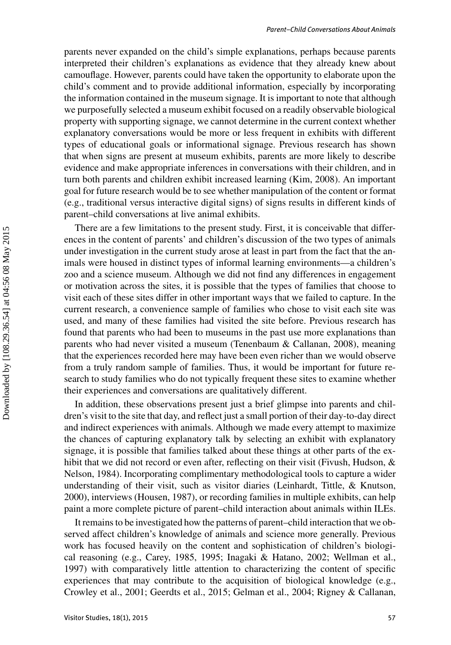parents never expanded on the child's simple explanations, perhaps because parents interpreted their children's explanations as evidence that they already knew about camouflage. However, parents could have taken the opportunity to elaborate upon the child's comment and to provide additional information, especially by incorporating the information contained in the museum signage. It is important to note that although we purposefully selected a museum exhibit focused on a readily observable biological property with supporting signage, we cannot determine in the current context whether explanatory conversations would be more or less frequent in exhibits with different types of educational goals or informational signage. Previous research has shown that when signs are present at museum exhibits, parents are more likely to describe evidence and make appropriate inferences in conversations with their children, and in turn both parents and children exhibit increased learning (Kim, 2008). An important goal for future research would be to see whether manipulation of the content or format (e.g., traditional versus interactive digital signs) of signs results in different kinds of parent–child conversations at live animal exhibits.

There are a few limitations to the present study. First, it is conceivable that differences in the content of parents' and children's discussion of the two types of animals under investigation in the current study arose at least in part from the fact that the animals were housed in distinct types of informal learning environments—a children's zoo and a science museum. Although we did not find any differences in engagement or motivation across the sites, it is possible that the types of families that choose to visit each of these sites differ in other important ways that we failed to capture. In the current research, a convenience sample of families who chose to visit each site was used, and many of these families had visited the site before. Previous research has found that parents who had been to museums in the past use more explanations than parents who had never visited a museum (Tenenbaum & Callanan, 2008), meaning that the experiences recorded here may have been even richer than we would observe from a truly random sample of families. Thus, it would be important for future research to study families who do not typically frequent these sites to examine whether their experiences and conversations are qualitatively different.

In addition, these observations present just a brief glimpse into parents and children's visit to the site that day, and reflect just a small portion of their day-to-day direct and indirect experiences with animals. Although we made every attempt to maximize the chances of capturing explanatory talk by selecting an exhibit with explanatory signage, it is possible that families talked about these things at other parts of the exhibit that we did not record or even after, reflecting on their visit (Fivush, Hudson, & Nelson, 1984). Incorporating complimentary methodological tools to capture a wider understanding of their visit, such as visitor diaries (Leinhardt, Tittle, & Knutson, 2000), interviews (Housen, 1987), or recording families in multiple exhibits, can help paint a more complete picture of parent–child interaction about animals within ILEs.

It remains to be investigated how the patterns of parent–child interaction that we observed affect children's knowledge of animals and science more generally. Previous work has focused heavily on the content and sophistication of children's biological reasoning (e.g., Carey, 1985, 1995; Inagaki & Hatano, 2002; Wellman et al., 1997) with comparatively little attention to characterizing the content of specific experiences that may contribute to the acquisition of biological knowledge (e.g., Crowley et al., 2001; Geerdts et al., 2015; Gelman et al., 2004; Rigney & Callanan,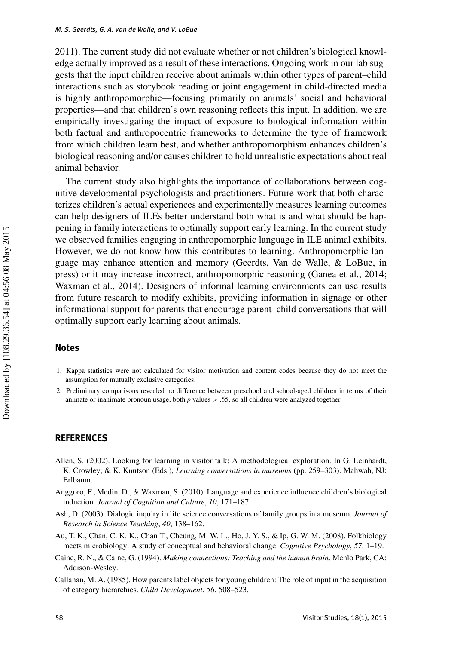2011). The current study did not evaluate whether or not children's biological knowledge actually improved as a result of these interactions. Ongoing work in our lab suggests that the input children receive about animals within other types of parent–child interactions such as storybook reading or joint engagement in child-directed media is highly anthropomorphic—focusing primarily on animals' social and behavioral properties—and that children's own reasoning reflects this input. In addition, we are empirically investigating the impact of exposure to biological information within both factual and anthropocentric frameworks to determine the type of framework from which children learn best, and whether anthropomorphism enhances children's biological reasoning and/or causes children to hold unrealistic expectations about real animal behavior.

The current study also highlights the importance of collaborations between cognitive developmental psychologists and practitioners. Future work that both characterizes children's actual experiences and experimentally measures learning outcomes can help designers of ILEs better understand both what is and what should be happening in family interactions to optimally support early learning. In the current study we observed families engaging in anthropomorphic language in ILE animal exhibits. However, we do not know how this contributes to learning. Anthropomorphic language may enhance attention and memory (Geerdts, Van de Walle, & LoBue, in press) or it may increase incorrect, anthropomorphic reasoning (Ganea et al., 2014; Waxman et al., 2014). Designers of informal learning environments can use results from future research to modify exhibits, providing information in signage or other informational support for parents that encourage parent–child conversations that will optimally support early learning about animals.

## **Notes**

- 1. Kappa statistics were not calculated for visitor motivation and content codes because they do not meet the assumption for mutually exclusive categories.
- 2. Preliminary comparisons revealed no difference between preschool and school-aged children in terms of their animate or inanimate pronoun usage, both *p* values > .55, so all children were analyzed together.

#### **REFERENCES**

- Allen, S. (2002). Looking for learning in visitor talk: A methodological exploration. In G. Leinhardt, K. Crowley, & K. Knutson (Eds.), *Learning conversations in museums* (pp. 259–303). Mahwah, NJ: Erlbaum.
- Anggoro, F., Medin, D., & Waxman, S. (2010). Language and experience influence children's biological induction. *Journal of Cognition and Culture*, *10*, 171–187.
- Ash, D. (2003). Dialogic inquiry in life science conversations of family groups in a museum. *Journal of Research in Science Teaching*, *40*, 138–162.
- Au, T. K., Chan, C. K. K., Chan T., Cheung, M. W. L., Ho, J. Y. S., & Ip, G. W. M. (2008). Folkbiology meets microbiology: A study of conceptual and behavioral change. *Cognitive Psychology*, *57*, 1–19.
- Caine, R. N., & Caine, G. (1994). *Making connections: Teaching and the human brain*. Menlo Park, CA: Addison-Wesley.
- Callanan, M. A. (1985). How parents label objects for young children: The role of input in the acquisition of category hierarchies. *Child Development*, *56*, 508–523.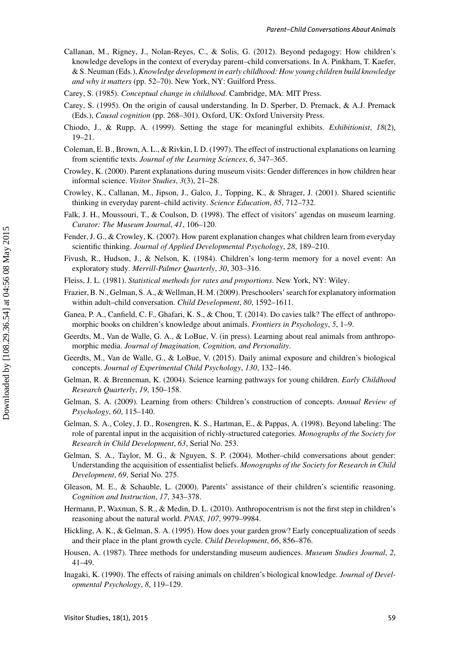- Callanan, M., Rigney, J., Nolan-Reyes, C., & Solis, G. (2012). Beyond pedagogy: How children's knowledge develops in the context of everyday parent–child conversations. In A. Pinkham, T. Kaefer, & S. Neuman (Eds.),*Knowledge development in early childhood: How young children build knowledge and why it matters* (pp. 52–70). New York, NY: Guilford Press.
- Carey, S. (1985). *Conceptual change in childhood*. Cambridge, MA: MIT Press.
- Carey, S. (1995). On the origin of causal understanding. In D. Sperber, D. Premack, & A.J. Premack (Eds.), *Causal cognition* (pp. 268–301). Oxford, UK: Oxford University Press.
- Chiodo, J., & Rupp, A. (1999). Setting the stage for meaningful exhibits. *Exhibitionist*, *18*(2), 19–21.
- Coleman, E. B., Brown, A. L., & Rivkin, I. D. (1997). The effect of instructional explanations on learning from scientific texts. *Journal of the Learning Sciences*, *6*, 347–365.
- Crowley, K. (2000). Parent explanations during museum visits: Gender differences in how children hear informal science. *Visitor Studies*, *3*(3), 21–28.
- Crowley, K., Callanan, M., Jipson, J., Galco, J., Topping, K., & Shrager, J. (2001). Shared scientific thinking in everyday parent–child activity. *Science Education*, *85*, 712–732.
- Falk, J. H., Moussouri, T., & Coulson, D. (1998). The effect of visitors' agendas on museum learning. *Curator: The Museum Journal*, *41*, 106–120.
- Fender, J. G., & Crowley, K. (2007). How parent explanation changes what children learn from everyday scientific thinking. *Journal of Applied Developmental Psychology*, *28*, 189–210.
- Fivush, R., Hudson, J., & Nelson, K. (1984). Children's long-term memory for a novel event: An exploratory study. *Merrill-Palmer Quarterly*, *30*, 303–316.
- Fleiss, J. L. (1981). *Statistical methods for rates and proportions*. New York, NY: Wiley.
- Frazier, B. N., Gelman, S. A., & Wellman, H. M. (2009). Preschoolers' search for explanatory information within adult–child conversation. *Child Development*, *80*, 1592–1611.
- Ganea, P. A., Canfield, C. F., Ghafari, K. S., & Chou, T. (2014). Do cavies talk? The effect of anthropomorphic books on children's knowledge about animals. *Frontiers in Psychology*, *5*, 1–9.
- Geerdts, M., Van de Walle, G. A., & LoBue, V. (in press). Learning about real animals from anthropomorphic media. *Journal of Imagination, Cognition, and Personality*.
- Geerdts, M., Van de Walle, G., & LoBue, V. (2015). Daily animal exposure and children's biological concepts. *Journal of Experimental Child Psychology*, *130*, 132–146.
- Gelman, R. & Brenneman, K. (2004). Science learning pathways for young children. *Early Childhood Research Quarterly*, *19*, 150–158.
- Gelman, S. A. (2009). Learning from others: Children's construction of concepts. *Annual Review of Psychology*, *60*, 115–140.
- Gelman, S. A., Coley, J. D., Rosengren, K. S., Hartman, E., & Pappas, A. (1998). Beyond labeling: The role of parental input in the acquisition of richly-structured categories. *Monographs of the Society for Research in Child Development*, *63*, Serial No. 253.
- Gelman, S. A., Taylor, M. G., & Nguyen, S. P. (2004). Mother–child conversations about gender: Understanding the acquisition of essentialist beliefs. *Monographs of the Society for Research in Child Development*, *69*, Serial No. 275.
- Gleason, M. E., & Schauble, L. (2000). Parents' assistance of their children's scientific reasoning. *Cognition and Instruction*, *17*, 343–378.
- Hermann, P., Waxman, S. R., & Medin, D. L. (2010). Anthropocentrism is not the first step in children's reasoning about the natural world. *PNAS*, *107*, 9979–9984.
- Hickling, A. K., & Gelman, S. A. (1995). How does your garden grow? Early conceptualization of seeds and their place in the plant growth cycle. *Child Development*, *66*, 856–876.
- Housen, A. (1987). Three methods for understanding museum audiences. *Museum Studies Journal*, *2*, 41–49.
- Inagaki, K. (1990). The effects of raising animals on children's biological knowledge. *Journal of Developmental Psychology*, *8*, 119–129.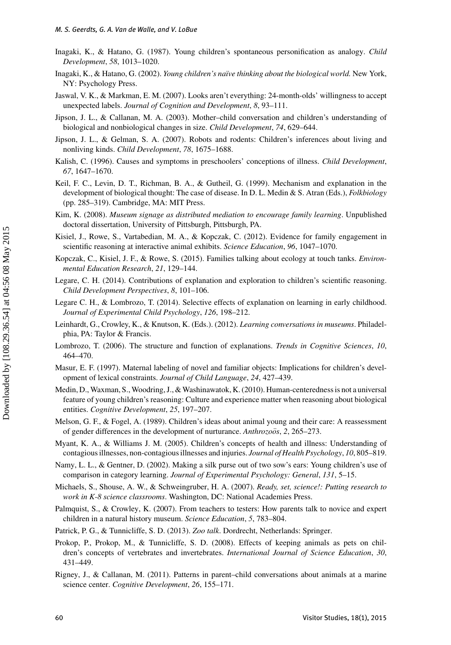- Inagaki, K., & Hatano, G. (1987). Young children's spontaneous personification as analogy. *Child Development*, *58*, 1013–1020.
- Inagaki, K., & Hatano, G. (2002). *Young children's naïve thinking about the biological world*. New York, NY: Psychology Press.
- Jaswal, V. K., & Markman, E. M. (2007). Looks aren't everything: 24-month-olds' willingness to accept unexpected labels. *Journal of Cognition and Development*, *8*, 93–111.
- Jipson, J. L., & Callanan, M. A. (2003). Mother–child conversation and children's understanding of biological and nonbiological changes in size. *Child Development*, *74*, 629–644.
- Jipson, J. L., & Gelman, S. A. (2007). Robots and rodents: Children's inferences about living and nonliving kinds. *Child Development*, *78*, 1675–1688.
- Kalish, C. (1996). Causes and symptoms in preschoolers' conceptions of illness. *Child Development*, *67*, 1647–1670.
- Keil, F. C., Levin, D. T., Richman, B. A., & Gutheil, G. (1999). Mechanism and explanation in the development of biological thought: The case of disease. In D. L. Medin & S. Atran (Eds.), *Folkbiology* (pp. 285–319). Cambridge, MA: MIT Press.
- Kim, K. (2008). *Museum signage as distributed mediation to encourage family learning*. Unpublished doctoral dissertation, University of Pittsburgh, Pittsburgh, PA.
- Kisiel, J., Rowe, S., Vartabedian, M. A., & Kopczak, C. (2012). Evidence for family engagement in scientific reasoning at interactive animal exhibits. *Science Education*, *96*, 1047–1070.
- Kopczak, C., Kisiel, J. F., & Rowe, S. (2015). Families talking about ecology at touch tanks. *Environmental Education Research*, *21*, 129–144.
- Legare, C. H. (2014). Contributions of explanation and exploration to children's scientific reasoning. *Child Development Perspectives*, *8*, 101–106.
- Legare C. H., & Lombrozo, T. (2014). Selective effects of explanation on learning in early childhood. *Journal of Experimental Child Psychology*, *126*, 198–212.
- Leinhardt, G., Crowley, K., & Knutson, K. (Eds.). (2012). *Learning conversations in museums*. Philadelphia, PA: Taylor & Francis.
- Lombrozo, T. (2006). The structure and function of explanations. *Trends in Cognitive Sciences*, *10*, 464–470.
- Masur, E. F. (1997). Maternal labeling of novel and familiar objects: Implications for children's development of lexical constraints. *Journal of Child Language*, *24*, 427–439.
- Medin, D., Waxman, S., Woodring, J., & Washinawatok, K. (2010). Human-centeredness is not a universal feature of young children's reasoning: Culture and experience matter when reasoning about biological entities. *Cognitive Development*, *25*, 197–207.
- Melson, G. F., & Fogel, A. (1989). Children's ideas about animal young and their care: A reassessment of gender differences in the development of nurturance. *Anthrozoos*, 2, 265–273.
- Myant, K. A., & Williams J. M. (2005). Children's concepts of health and illness: Understanding of contagious illnesses, non-contagious illnesses and injuries. *Journal of Health Psychology*, *10*, 805–819.
- Namy, L. L., & Gentner, D. (2002). Making a silk purse out of two sow's ears: Young children's use of comparison in category learning. *Journal of Experimental Psychology: General*, *131*, 5–15.
- Michaels, S., Shouse, A. W., & Schweingruber, H. A. (2007). *Ready, set, science!: Putting research to work in K-8 science classrooms*. Washington, DC: National Academies Press.
- Palmquist, S., & Crowley, K. (2007). From teachers to testers: How parents talk to novice and expert children in a natural history museum. *Science Education*, *5*, 783–804.
- Patrick, P. G., & Tunnicliffe, S. D. (2013). *Zoo talk*. Dordrecht, Netherlands: Springer.
- Prokop, P., Prokop, M., & Tunnicliffe, S. D. (2008). Effects of keeping animals as pets on children's concepts of vertebrates and invertebrates. *International Journal of Science Education*, *30*, 431–449.
- Rigney, J., & Callanan, M. (2011). Patterns in parent–child conversations about animals at a marine science center. *Cognitive Development*, *26*, 155–171.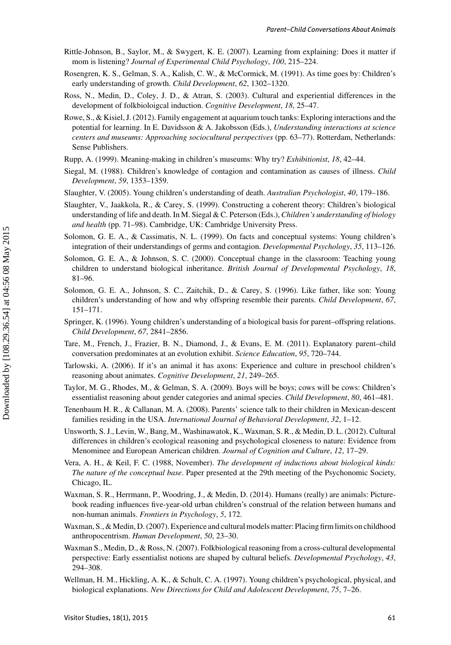- Rittle-Johnson, B., Saylor, M., & Swygert, K. E. (2007). Learning from explaining: Does it matter if mom is listening? *Journal of Experimental Child Psychology*, *100*, 215–224.
- Rosengren, K. S., Gelman, S. A., Kalish, C. W., & McCormick, M. (1991). As time goes by: Children's early understanding of growth. *Child Development*, *62*, 1302–1320.
- Ross, N., Medin, D., Coley, J. D., & Atran, S. (2003). Cultural and experiential differences in the development of folkbioloigcal induction. *Cognitive Development*, *18*, 25–47.
- Rowe, S., & Kisiel, J. (2012). Family engagement at aquarium touch tanks: Exploring interactions and the potential for learning. In E. Davidsson & A. Jakobsson (Eds.), *Understanding interactions at science centers and museums: Approaching sociocultural perspectives* (pp. 63–77). Rotterdam, Netherlands: Sense Publishers.
- Rupp, A. (1999). Meaning-making in children's museums: Why try? *Exhibitionist*, *18*, 42–44.
- Siegal, M. (1988). Children's knowledge of contagion and contamination as causes of illness. *Child Development*, *59*, 1353–1359.
- Slaughter, V. (2005). Young children's understanding of death. *Australian Psychologist*, *40*, 179–186.
- Slaughter, V., Jaakkola, R., & Carey, S. (1999). Constructing a coherent theory: Children's biological understanding of life and death. In M. Siegal & C. Peterson (Eds.), *Children's understanding of biology and health* (pp. 71–98). Cambridge, UK: Cambridge University Press.
- Solomon, G. E. A., & Cassimatis, N. L. (1999). On facts and conceptual systems: Young children's integration of their understandings of germs and contagion. *Developmental Psychology*, *35*, 113–126.
- Solomon, G. E. A., & Johnson, S. C. (2000). Conceptual change in the classroom: Teaching young children to understand biological inheritance. *British Journal of Developmental Psychology*, *18*, 81–96.
- Solomon, G. E. A., Johnson, S. C., Zaitchik, D., & Carey, S. (1996). Like father, like son: Young children's understanding of how and why offspring resemble their parents. *Child Development*, *67*, 151–171.
- Springer, K. (1996). Young children's understanding of a biological basis for parent–offspring relations. *Child Development*, *67*, 2841–2856.
- Tare, M., French, J., Frazier, B. N., Diamond, J., & Evans, E. M. (2011). Explanatory parent–child conversation predominates at an evolution exhibit. *Science Education*, *95*, 720–744.
- Tarlowski, A. (2006). If it's an animal it has axons: Experience and culture in preschool children's reasoning about animates. *Cognitive Development*, *21*, 249–265.
- Taylor, M. G., Rhodes, M., & Gelman, S. A. (2009). Boys will be boys; cows will be cows: Children's essentialist reasoning about gender categories and animal species. *Child Development*, *80*, 461–481.
- Tenenbaum H. R., & Callanan, M. A. (2008). Parents' science talk to their children in Mexican-descent families residing in the USA. *International Journal of Behavioral Development*, *32*, 1–12.
- Unsworth, S. J., Levin, W., Bang, M., Washinawatok, K., Waxman, S. R., & Medin, D. L. (2012). Cultural differences in children's ecological reasoning and psychological closeness to nature: Evidence from Menominee and European American children. *Journal of Cognition and Culture*, *12*, 17–29.
- Vera, A. H., & Keil, F. C. (1988, November). *The development of inductions about biological kinds: The nature of the conceptual base*. Paper presented at the 29th meeting of the Psychonomic Society, Chicago, IL.
- Waxman, S. R., Herrmann, P., Woodring, J., & Medin, D. (2014). Humans (really) are animals: Picturebook reading influences five-year-old urban children's construal of the relation between humans and non-human animals. *Frontiers in Psychology*, *5*, 172.
- Waxman, S., & Medin, D. (2007). Experience and cultural models matter: Placing firm limits on childhood anthropocentrism. *Human Development*, *50*, 23–30.
- Waxman S., Medin, D., & Ross, N. (2007). Folkbiological reasoning from a cross-cultural developmental perspective: Early essentialist notions are shaped by cultural beliefs. *Developmental Psychology*, *43*, 294–308.
- Wellman, H. M., Hickling, A. K., & Schult, C. A. (1997). Young children's psychological, physical, and biological explanations. *New Directions for Child and Adolescent Development*, *75*, 7–26.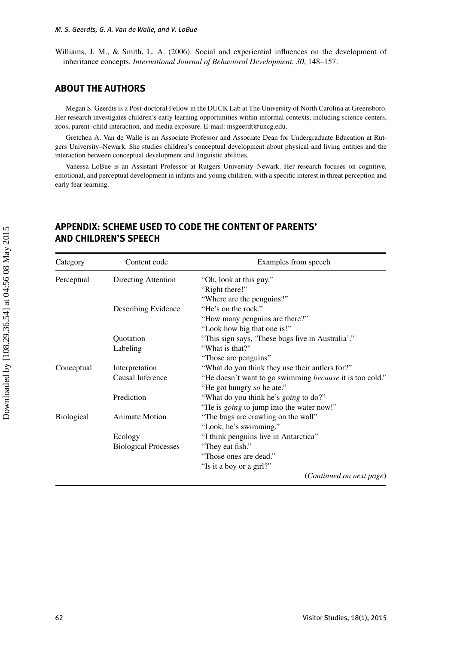Williams, J. M., & Smith, L. A. (2006). Social and experiential influences on the development of inheritance concepts. *International Journal of Behavioral Development*, *30*, 148–157.

## **ABOUT THE AUTHORS**

Megan S. Geerdts is a Post-doctoral Fellow in the DUCK Lab at The University of North Carolina at Greensboro. Her research investigates children's early learning opportunities within informal contexts, including science centers, zoos, parent–child interaction, and media exposure. E-mail: msgeerdt@uncg.edu.

Gretchen A. Van de Walle is an Associate Professor and Associate Dean for Undergraduate Education at Rutgers University–Newark. She studies children's conceptual development about physical and living entities and the interaction between conceptual development and linguistic abilities.

Vanessa LoBue is an Assistant Professor at Rutgers University–Newark. Her research focuses on cognitive, emotional, and perceptual development in infants and young children, with a specific interest in threat perception and early fear learning.

| Category          | Content code                | Examples from speech                                            |
|-------------------|-----------------------------|-----------------------------------------------------------------|
| Perceptual        | Directing Attention         | "Oh, look at this guy."                                         |
|                   |                             | "Right there!"                                                  |
|                   |                             | "Where are the penguins?"                                       |
|                   | Describing Evidence         | "He's on the rock."                                             |
|                   |                             | "How many penguins are there?"                                  |
|                   |                             | "Look how big that one is!"                                     |
|                   | Quotation                   | "This sign says, 'These bugs live in Australia'."               |
|                   | Labeling                    | "What is that?"                                                 |
|                   |                             | "Those are penguins"                                            |
| Conceptual        | Interpretation              | "What do you think they use their antlers for?"                 |
|                   | Causal Inference            | "He doesn't want to go swimming <i>because</i> it is too cold." |
|                   |                             | "He got hungry so he ate."                                      |
|                   | Prediction                  | "What do you think he's <i>going</i> to do?"                    |
|                   |                             | "He is <i>going</i> to jump into the water now!"                |
| <b>Biological</b> | <b>Animate Motion</b>       | "The bugs are crawling on the wall"                             |
|                   |                             | "Look, he's swimming."                                          |
|                   | Ecology                     | "I think penguins live in Antarctica"                           |
|                   | <b>Biological Processes</b> | "They eat fish."                                                |
|                   |                             | "Those ones are dead."                                          |
|                   |                             | "Is it a boy or a girl?"                                        |
|                   |                             | (Continued on next page)                                        |

## **APPENDIX: SCHEME USED TO CODE THE CONTENT OF PARENTS' AND CHILDREN'S SPEECH**